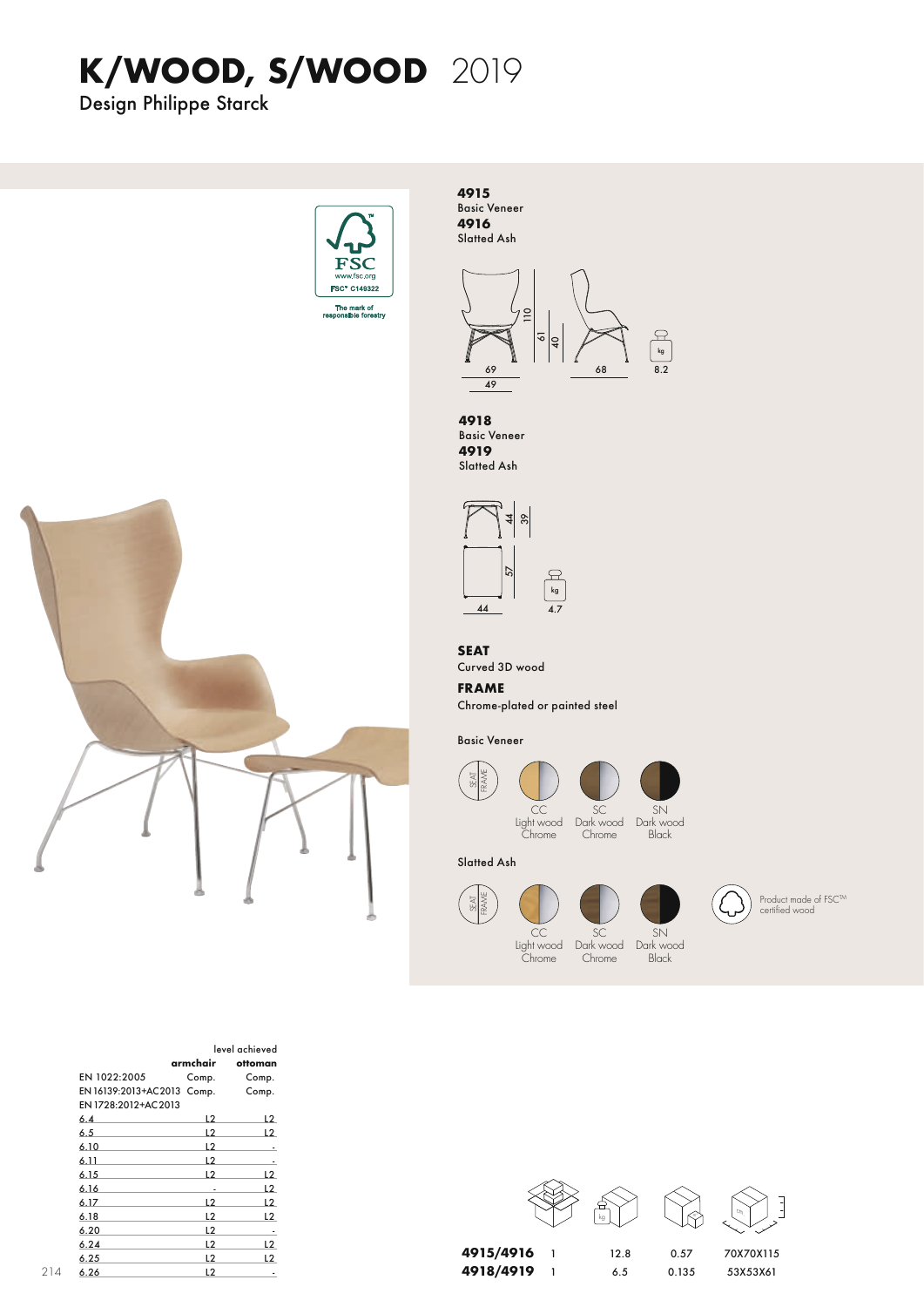## **K/WOOD, S/WOOD**

Design Philippe Starck



**4915** Basic Veneer **4916** Slatted Ash



 $rac{4}{8}$ 57 **4918** Basic Veneer **4919** Slatted Ash

> kg 4.7



44

Curved 3D wood

### **FRAME**

Chrome-plated or painted steel

Basic Veneer

**SFAT** FRAME

SFAT FRAME







 $SN$ 



Slatted Ash





Product made of FSC™<br>certified wood













| level achieved              |                |                |
|-----------------------------|----------------|----------------|
|                             | armchair       | ottoman        |
| EN 1022:2005                | Comp.          | Comp.          |
| EN 16139:2013+AC 2013 Comp. |                | Comp.          |
| EN 1728:2012+AC 2013        |                |                |
| 6.4                         | L2             | L <sub>2</sub> |
| 6.5                         | L2             | L <sub>2</sub> |
| 6.10                        | L <sub>2</sub> |                |
| 6.11                        | L <sub>2</sub> |                |
| 6.15                        | L2             | L <sub>2</sub> |
| 6.16                        | ٠              | L2             |
| 6.17                        | L2             | L2             |
| 6.18                        | L <sub>2</sub> | L2             |
| 6.20                        | L <sub>2</sub> | ٠              |
| 6.24                        | 12             | L2             |
| 6.25                        | 12             | 12             |